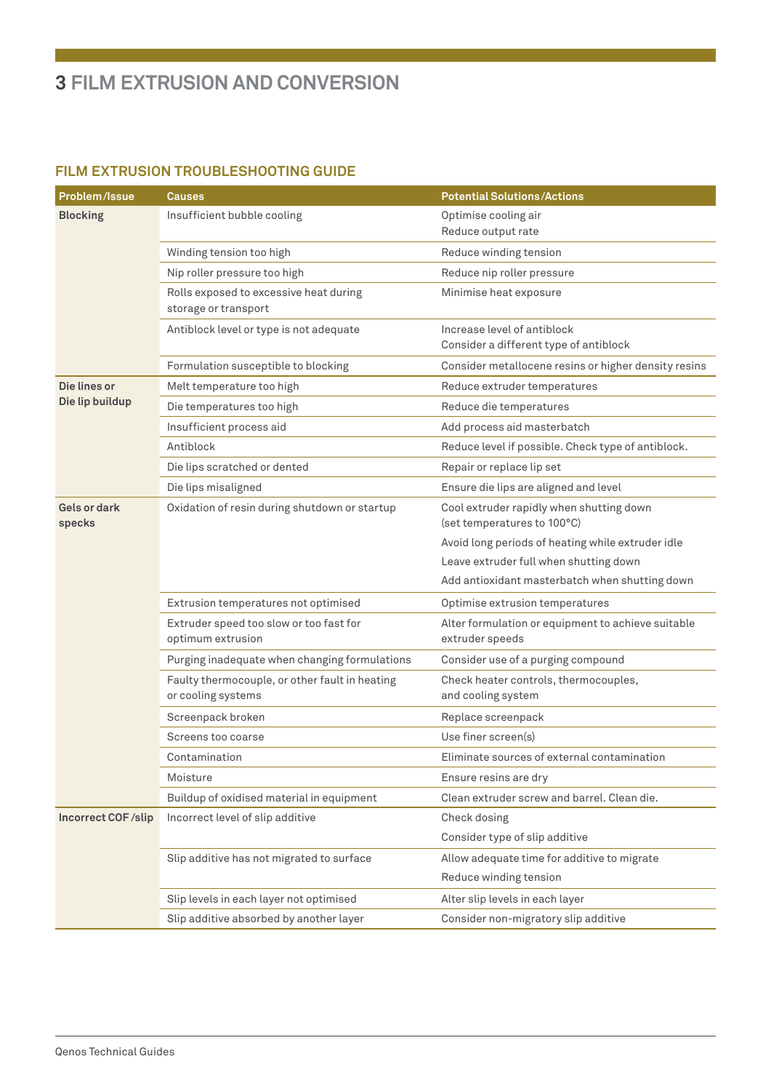## **3 FILM EXTRUSION AND CONVERSION**

#### **FILM EXTRUSION TROUBLESHOOTING GUIDE**

| Problem/Issue                   | Causes                                                               | <b>Potential Solutions/Actions</b>                                      |
|---------------------------------|----------------------------------------------------------------------|-------------------------------------------------------------------------|
| <b>Blocking</b>                 | Insufficient bubble cooling                                          | Optimise cooling air                                                    |
|                                 |                                                                      | Reduce output rate                                                      |
|                                 | Winding tension too high                                             | Reduce winding tension                                                  |
|                                 | Nip roller pressure too high                                         | Reduce nip roller pressure                                              |
|                                 | Rolls exposed to excessive heat during<br>storage or transport       | Minimise heat exposure                                                  |
|                                 | Antiblock level or type is not adequate                              | Increase level of antiblock<br>Consider a different type of antiblock   |
|                                 | Formulation susceptible to blocking                                  | Consider metallocene resins or higher density resins                    |
| Die lines or<br>Die lip buildup | Melt temperature too high                                            | Reduce extruder temperatures                                            |
|                                 | Die temperatures too high                                            | Reduce die temperatures                                                 |
|                                 | Insufficient process aid                                             | Add process aid masterbatch                                             |
|                                 | Antiblock                                                            | Reduce level if possible. Check type of antiblock.                      |
|                                 | Die lips scratched or dented                                         | Repair or replace lip set                                               |
|                                 | Die lips misaligned                                                  | Ensure die lips are aligned and level                                   |
| Gels or dark<br>specks          | Oxidation of resin during shutdown or startup                        | Cool extruder rapidly when shutting down<br>(set temperatures to 100°C) |
|                                 |                                                                      | Avoid long periods of heating while extruder idle                       |
|                                 |                                                                      | Leave extruder full when shutting down                                  |
|                                 |                                                                      | Add antioxidant masterbatch when shutting down                          |
|                                 | Extrusion temperatures not optimised                                 | Optimise extrusion temperatures                                         |
|                                 | Extruder speed too slow or too fast for<br>optimum extrusion         | Alter formulation or equipment to achieve suitable<br>extruder speeds   |
|                                 | Purging inadequate when changing formulations                        | Consider use of a purging compound                                      |
|                                 | Faulty thermocouple, or other fault in heating<br>or cooling systems | Check heater controls, thermocouples,<br>and cooling system             |
|                                 | Screenpack broken                                                    | Replace screenpack                                                      |
|                                 | Screens too coarse                                                   | Use finer screen(s)                                                     |
|                                 | Contamination                                                        | Eliminate sources of external contamination                             |
|                                 | Moisture                                                             | Ensure resins are dry                                                   |
|                                 | Buildup of oxidised material in equipment                            | Clean extruder screw and barrel. Clean die.                             |
| Incorrect COF/slip              | Incorrect level of slip additive                                     | Check dosing                                                            |
|                                 |                                                                      | Consider type of slip additive                                          |
|                                 | Slip additive has not migrated to surface                            | Allow adequate time for additive to migrate                             |
|                                 |                                                                      | Reduce winding tension                                                  |
|                                 | Slip levels in each layer not optimised                              | Alter slip levels in each layer                                         |
|                                 | Slip additive absorbed by another layer                              | Consider non-migratory slip additive                                    |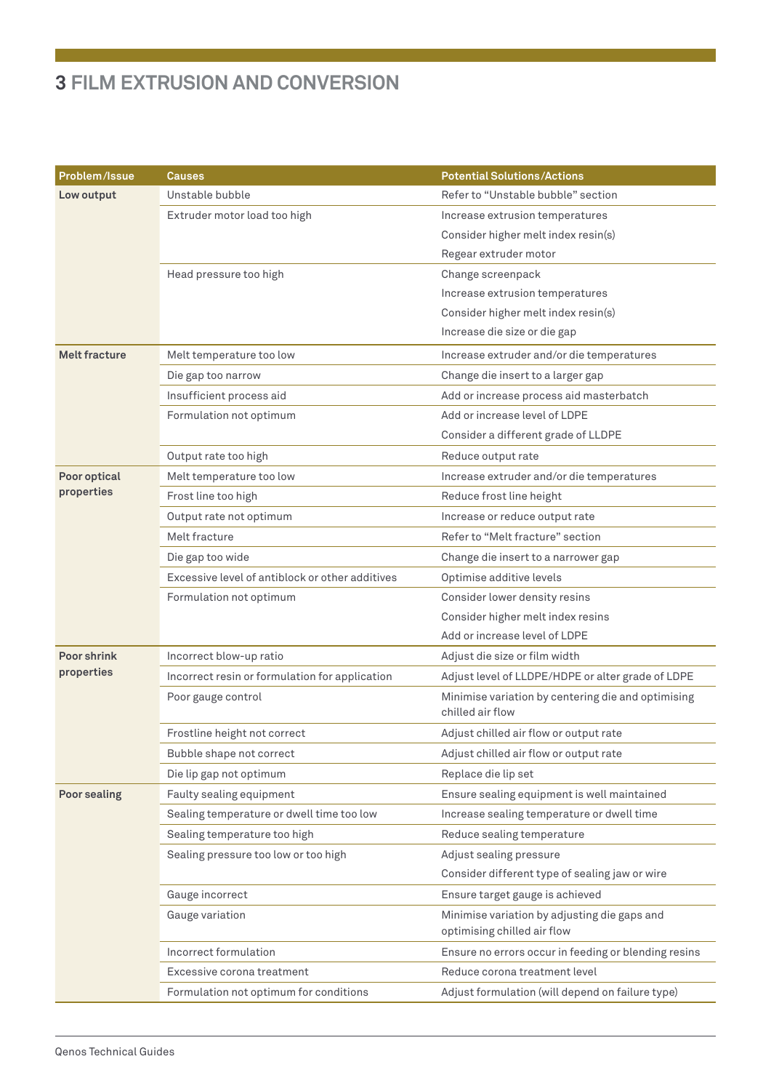# **3 FILM EXTRUSION AND CONVERSION**

| Problem/Issue        | <b>Causes</b>                                   | <b>Potential Solutions/Actions</b>                                          |
|----------------------|-------------------------------------------------|-----------------------------------------------------------------------------|
| Low output           | Unstable bubble                                 | Refer to "Unstable bubble" section                                          |
|                      | Extruder motor load too high                    | Increase extrusion temperatures                                             |
|                      |                                                 | Consider higher melt index resin(s)                                         |
|                      |                                                 | Regear extruder motor                                                       |
|                      | Head pressure too high                          | Change screenpack                                                           |
|                      |                                                 | Increase extrusion temperatures                                             |
|                      |                                                 | Consider higher melt index resin(s)                                         |
|                      |                                                 | Increase die size or die gap                                                |
| <b>Melt fracture</b> | Melt temperature too low                        | Increase extruder and/or die temperatures                                   |
|                      | Die gap too narrow                              | Change die insert to a larger gap                                           |
|                      | Insufficient process aid                        | Add or increase process aid masterbatch                                     |
|                      | Formulation not optimum                         | Add or increase level of LDPE                                               |
|                      |                                                 | Consider a different grade of LLDPE                                         |
|                      | Output rate too high                            | Reduce output rate                                                          |
| Poor optical         | Melt temperature too low                        | Increase extruder and/or die temperatures                                   |
| properties           | Frost line too high                             | Reduce frost line height                                                    |
|                      | Output rate not optimum                         | Increase or reduce output rate                                              |
|                      | Melt fracture                                   | Refer to "Melt fracture" section                                            |
|                      | Die gap too wide                                | Change die insert to a narrower gap                                         |
|                      | Excessive level of antiblock or other additives | Optimise additive levels                                                    |
|                      | Formulation not optimum                         | Consider lower density resins                                               |
|                      |                                                 | Consider higher melt index resins                                           |
|                      |                                                 | Add or increase level of LDPE                                               |
| <b>Poor shrink</b>   | Incorrect blow-up ratio                         | Adjust die size or film width                                               |
| properties           | Incorrect resin or formulation for application  | Adjust level of LLDPE/HDPE or alter grade of LDPE                           |
|                      | Poor gauge control                              | Minimise variation by centering die and optimising<br>chilled air flow      |
|                      | Frostline height not correct                    | Adjust chilled air flow or output rate                                      |
|                      | Bubble shape not correct                        | Adjust chilled air flow or output rate                                      |
|                      | Die lip gap not optimum                         | Replace die lip set                                                         |
| <b>Poor sealing</b>  | Faulty sealing equipment                        | Ensure sealing equipment is well maintained                                 |
|                      | Sealing temperature or dwell time too low       | Increase sealing temperature or dwell time                                  |
|                      | Sealing temperature too high                    | Reduce sealing temperature                                                  |
|                      | Sealing pressure too low or too high            | Adjust sealing pressure                                                     |
|                      |                                                 | Consider different type of sealing jaw or wire                              |
|                      | Gauge incorrect                                 | Ensure target gauge is achieved                                             |
|                      | Gauge variation                                 | Minimise variation by adjusting die gaps and<br>optimising chilled air flow |
|                      | Incorrect formulation                           | Ensure no errors occur in feeding or blending resins                        |
|                      | Excessive corona treatment                      | Reduce corona treatment level                                               |
|                      | Formulation not optimum for conditions          | Adjust formulation (will depend on failure type)                            |